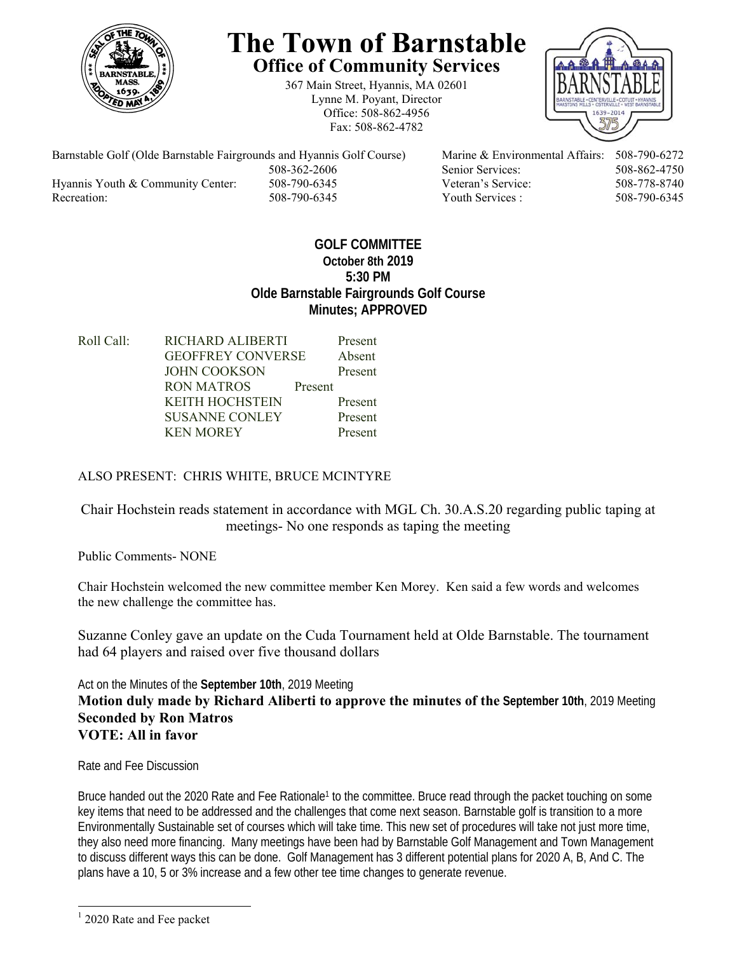

## **The Town of Barnstable Office of Community Services**

367 Main Street, Hyannis, MA 02601 Lynne M. Poyant, Director Office: 508-862-4956 Fax: 508-862-4782



Barnstable Golf (Olde Barnstable Fairgrounds and Hyannis Golf Course) Marine & Environmental Affairs: 508-790-6272 508-362-2606 Senior Services: 508-862-4750 Hyannis Youth & Community Center: 508-790-6345 Veteran's Service: 508-778-8740 Recreation: 508-790-6345 Youth Services : 508-790-6345 S08-790-6345

## **GOLF COMMITTEE October 8th 2019 5:30 PM Olde Barnstable Fairgrounds Golf Course Minutes; APPROVED**

| Roll Call: | <b>RICHARD ALIBERTI</b>  |         | Present |
|------------|--------------------------|---------|---------|
|            | <b>GEOFFREY CONVERSE</b> |         | Absent  |
|            | <b>JOHN COOKSON</b>      |         | Present |
|            | RON MATROS               | Present |         |
|            | <b>KEITH HOCHSTEIN</b>   |         | Present |
|            | <b>SUSANNE CONLEY</b>    |         | Present |
|            | <b>KEN MOREY</b>         |         | Present |
|            |                          |         |         |

## ALSO PRESENT: CHRIS WHITE, BRUCE MCINTYRE

Chair Hochstein reads statement in accordance with MGL Ch. 30.A.S.20 regarding public taping at meetings- No one responds as taping the meeting

Public Comments- NONE

Chair Hochstein welcomed the new committee member Ken Morey. Ken said a few words and welcomes the new challenge the committee has.

Suzanne Conley gave an update on the Cuda Tournament held at Olde Barnstable. The tournament had 64 players and raised over five thousand dollars

Act on the Minutes of the **September 10th**, 2019 Meeting **Motion duly made by Richard Aliberti to approve the minutes of the September 10th**, 2019 Meeting **Seconded by Ron Matros VOTE: All in favor** 

Rate and Fee Discussion

Bruce handed out the 2020 Rate and Fee Rationale<sup>1</sup> to the committee. Bruce read through the packet touching on some key items that need to be addressed and the challenges that come next season. Barnstable golf is transition to a more Environmentally Sustainable set of courses which will take time. This new set of procedures will take not just more time, they also need more financing. Many meetings have been had by Barnstable Golf Management and Town Management to discuss different ways this can be done. Golf Management has 3 different potential plans for 2020 A, B, And C. The plans have a 10, 5 or 3% increase and a few other tee time changes to generate revenue.

l

<sup>&</sup>lt;sup>1</sup> 2020 Rate and Fee packet